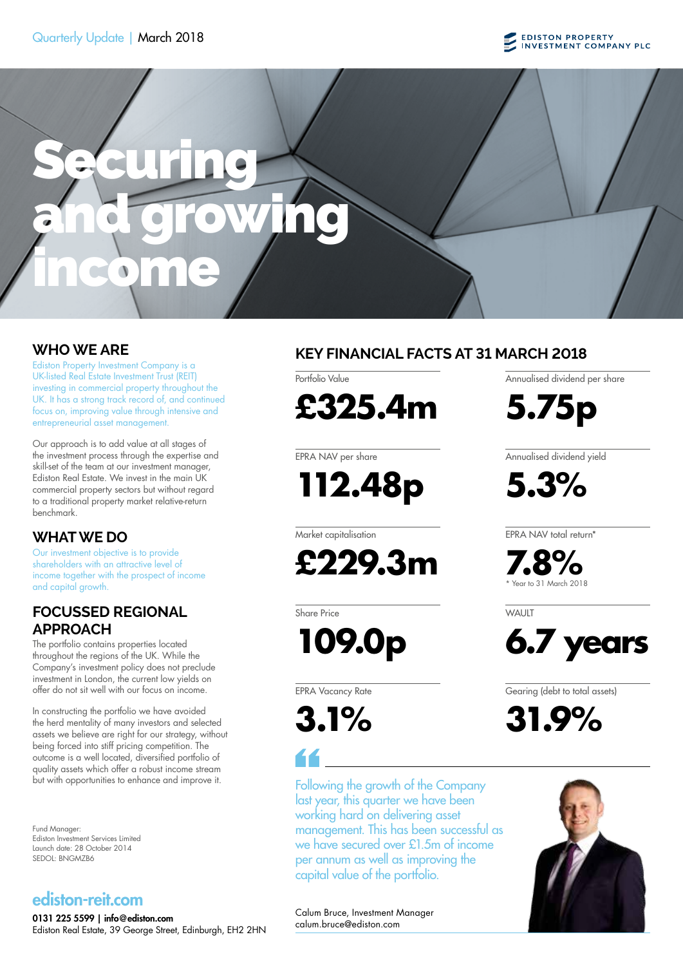



Ediston Property Investment Company is a UK-listed Real Estate Investment Trust (REIT) investing in commercial property throughout the UK. It has a strong track record of, and continued focus on, improving value through intensive and entrepreneurial asset management.

Our approach is to add value at all stages of the investment process through the expertise and skill-set of the team at our investment manager, Ediston Real Estate. We invest in the main UK commercial property sectors but without regard to a traditional property market relative-return benchmark.

## **WHAT WE DO**

Our investment objective is to provide shareholders with an attractive level of income together with the prospect of income and capital growth.

## **FOCUSSED REGIONAL APPROACH**

The portfolio contains properties located throughout the regions of the UK. While the Company's investment policy does not preclude investment in London, the current low yields on offer do not sit well with our focus on income.

In constructing the portfolio we have avoided the herd mentality of many investors and selected assets we believe are right for our strategy, without being forced into stiff pricing competition. The outcome is a well located, diversified portfolio of quality assets which offer a robust income stream but with opportunities to enhance and improve it.

Fund Manager: Ediston Investment Services Limited Launch date: 28 October 2014 SEDOL: BNGMZB6

# ediston-reit.com

0131 225 5599 | info@ediston.com Ediston Real Estate, 39 George Street, Edinburgh, EH2 2HN

# **WHO WE ARE KEY FINANCIAL FACTS AT 31 MARCH 2018**

**£325.4m**

EPRA NAV per share

Portfolio Value

**112.48p**

Market capitalisation

**£229.3m**

Share Price

**109.0p**

EPRA Vacancy Rate

**3.1%**

Following the growth of the Company last year, this quarter we have been working hard on delivering asset management. This has been successful as we have secured over £1.5m of income per annum as well as improving the capital value of the portfolio.

Annualised dividend per share

**5.75p**

Annualised dividend yield

**5.3%**

EPRA NAV total return\*

**7.8%** Year to 31 March 2018

**WAUIT** 



Gearing (debt to total assets)

**31.9%**



Calum Bruce, Investment Manager calum.bruce@ediston.com